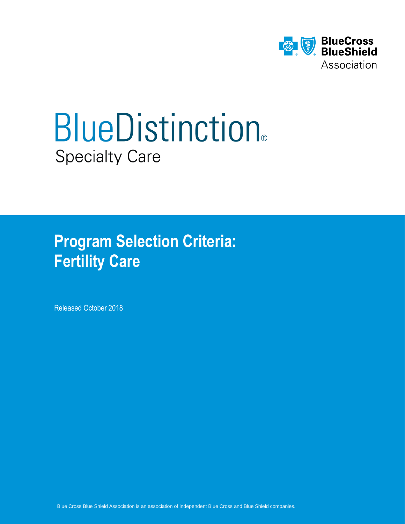

# **BlueDistinction®** Specialty Care

**Program Selection Criteria: Fertility Care**

Released October 2018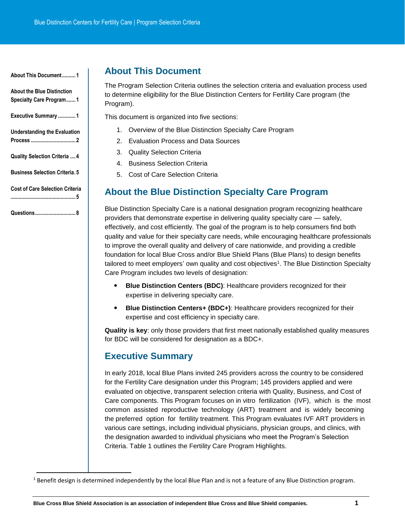<span id="page-1-0"></span>**[About the Blue Distinction](#page-1-1)  [Specialty Care Program.......](#page-1-1) 1**

**[Executive Summary](#page-1-2) ............. 1**

**[Understanding the Evaluation](#page-2-0)  Process [.................................](#page-2-0) 2**

**[Quality Selection Criteria](#page-4-0) .... 4**

**[Business Selection Criteria.](#page-5-0) 5**

<span id="page-1-1"></span>**[Cost of Care Selection Criteria](#page-5-1) [................................................](#page-5-1) 5**

**[Questions..............................](#page-8-0) 8**

l

# **About This Document**

The Program Selection Criteria outlines the selection criteria and evaluation process used to determine eligibility for the Blue Distinction Centers for Fertility Care program (the Program).

This document is organized into five sections:

- 1. Overview of the Blue Distinction Specialty Care Program
- 2. Evaluation Process and Data Sources
- 3. Quality Selection Criteria
- 4. Business Selection Criteria
- 5. Cost of Care Selection Criteria

# **About the Blue Distinction Specialty Care Program**

Blue Distinction Specialty Care is a national designation program recognizing healthcare providers that demonstrate expertise in delivering quality specialty care — safely, effectively, and cost efficiently. The goal of the program is to help consumers find both quality and value for their specialty care needs, while encouraging healthcare professionals to improve the overall quality and delivery of care nationwide, and providing a credible foundation for local Blue Cross and/or Blue Shield Plans (Blue Plans) to design benefits tailored to meet employers' own quality and cost objectives<sup>1</sup>. The Blue Distinction Specialty Care Program includes two levels of designation:

- **Blue Distinction Centers (BDC): Healthcare providers recognized for their** expertise in delivering specialty care.
- **Blue Distinction Centers+ (BDC+)**: Healthcare providers recognized for their expertise and cost efficiency in specialty care.

**Quality is key**: only those providers that first meet nationally established quality measures for BDC will be considered for designation as a BDC+.

# <span id="page-1-2"></span>**Executive Summary**

In early 2018, local Blue Plans invited 245 providers across the country to be considered for the Fertility Care designation under this Program; 145 providers applied and were evaluated on objective, transparent selection criteria with Quality, Business, and Cost of Care components. This Program focuses on in vitro fertilization (IVF), which is the most common assisted reproductive technology (ART) treatment and is widely becoming the preferred option for fertility treatment. This Program evaluates IVF ART providers in various care settings, including individual physicians, physician groups, and clinics, with the designation awarded to individual physicians who meet the Program's Selection Criteria. Table 1 outlines the Fertility Care Program Highlights.

 $1$  Benefit design is determined independently by the local Blue Plan and is not a feature of any Blue Distinction program.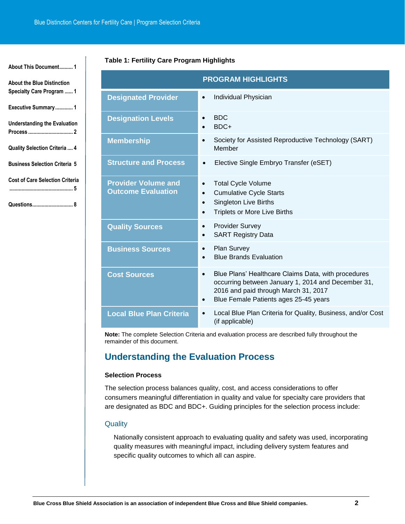# **Table 1: Fertility Care Program Highlights**

| <b>About the Blue Distinction</b><br>Specialty Care Program  1 |
|----------------------------------------------------------------|
| Executive Summary1                                             |
| <b>Understanding the Evaluation</b>                            |
| Quality Selection Criteria  4                                  |
| <b>Business Selection Criteria 5</b>                           |
| <b>Cost of Care Selection Criteria</b><br>                     |
|                                                                |

**[About This Document..........](#page-1-0) 1**

|                                                         | <b>PROGRAM HIGHLIGHTS</b>                                                                                                                                                                                            |
|---------------------------------------------------------|----------------------------------------------------------------------------------------------------------------------------------------------------------------------------------------------------------------------|
| <b>Designated Provider</b>                              | Individual Physician<br>$\bullet$                                                                                                                                                                                    |
| <b>Designation Levels</b>                               | <b>BDC</b><br>$\bullet$<br>BDC+<br>$\bullet$                                                                                                                                                                         |
| <b>Membership</b>                                       | Society for Assisted Reproductive Technology (SART)<br>$\bullet$<br>Member                                                                                                                                           |
| <b>Structure and Process</b>                            | Elective Single Embryo Transfer (eSET)<br>$\bullet$                                                                                                                                                                  |
| <b>Provider Volume and</b><br><b>Outcome Evaluation</b> | <b>Total Cycle Volume</b><br>$\bullet$<br><b>Cumulative Cycle Starts</b><br>$\bullet$<br><b>Singleton Live Births</b><br>$\bullet$<br><b>Triplets or More Live Births</b><br>$\bullet$                               |
| <b>Quality Sources</b>                                  | <b>Provider Survey</b><br>$\bullet$<br><b>SART Registry Data</b><br>$\bullet$                                                                                                                                        |
| <b>Business Sources</b>                                 | Plan Survey<br>$\bullet$<br><b>Blue Brands Evaluation</b><br>$\bullet$                                                                                                                                               |
| <b>Cost Sources</b>                                     | Blue Plans' Healthcare Claims Data, with procedures<br>$\bullet$<br>occurring between January 1, 2014 and December 31,<br>2016 and paid through March 31, 2017<br>Blue Female Patients ages 25-45 years<br>$\bullet$ |
| <b>Local Blue Plan Criteria</b>                         | Local Blue Plan Criteria for Quality, Business, and/or Cost<br>$\bullet$<br>(if applicable)                                                                                                                          |

**Note:** The complete Selection Criteria and evaluation process are described fully throughout the remainder of this document.

# <span id="page-2-0"></span>**Understanding the Evaluation Process**

## **Selection Process**

The selection process balances quality, cost, and access considerations to offer consumers meaningful differentiation in quality and value for specialty care providers that are designated as BDC and BDC+. Guiding principles for the selection process include:

#### **Quality**

Nationally consistent approach to evaluating quality and safety was used, incorporating quality measures with meaningful impact, including delivery system features and specific quality outcomes to which all can aspire.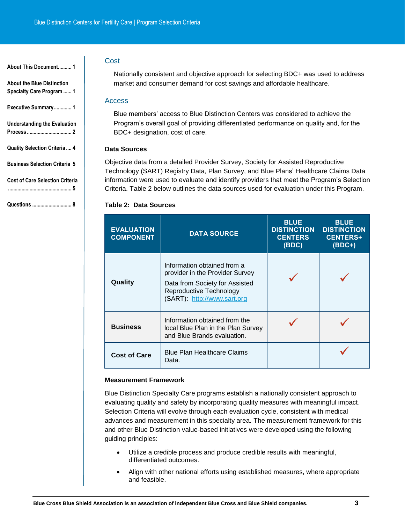**[About the Blue Distinction](#page-1-1)  [Specialty Care Program](#page-1-1) ...... 1**

**[Executive Summary.............](#page-1-2) 1**

**[Understanding the Evaluation](#page-2-0)  Process [.................................](#page-2-0) 2**

**[Quality Selection Criteria](#page-4-0) .... 4**

**[Business Selection Criteria](#page-5-0) 5**

**[Cost of Care Selection Criteria](#page-5-1)**

**[...............................................](#page-5-1) 5**

**Questions [.............................](#page-8-0) 8**

## Cost

Nationally consistent and objective approach for selecting BDC+ was used to address market and consumer demand for cost savings and affordable healthcare.

#### Access

Blue members' access to Blue Distinction Centers was considered to achieve the Program's overall goal of providing differentiated performance on quality and, for the BDC+ designation, cost of care.

## **Data Sources**

Objective data from a detailed Provider Survey, Society for Assisted Reproductive Technology (SART) Registry Data, Plan Survey, and Blue Plans' Healthcare Claims Data information were used to evaluate and identify providers that meet the Program's Selection Criteria. Table 2 below outlines the data sources used for evaluation under this Program.

## **Table 2: Data Sources**

| <b>EVALUATION</b><br><b>COMPONENT</b> | <b>DATA SOURCE</b>                                                                                                                                         | <b>BLUE</b><br><b>DISTINCTION</b><br><b>CENTERS</b><br>(BDC) | <b>BLUE</b><br><b>DISTINCTION</b><br><b>CENTERS+</b><br>$(BDC+)$ |
|---------------------------------------|------------------------------------------------------------------------------------------------------------------------------------------------------------|--------------------------------------------------------------|------------------------------------------------------------------|
| Quality                               | Information obtained from a<br>provider in the Provider Survey<br>Data from Society for Assisted<br>Reproductive Technology<br>(SART): http://www.sart.org |                                                              |                                                                  |
| <b>Business</b>                       | Information obtained from the<br>local Blue Plan in the Plan Survey<br>and Blue Brands evaluation.                                                         |                                                              |                                                                  |
| <b>Cost of Care</b>                   | <b>Blue Plan Healthcare Claims</b><br>Data.                                                                                                                |                                                              |                                                                  |

#### **Measurement Framework**

Blue Distinction Specialty Care programs establish a nationally consistent approach to evaluating quality and safety by incorporating quality measures with meaningful impact. Selection Criteria will evolve through each evaluation cycle, consistent with medical advances and measurement in this specialty area. The measurement framework for this and other Blue Distinction value-based initiatives were developed using the following guiding principles:

- Utilize a credible process and produce credible results with meaningful, differentiated outcomes.
- Align with other national efforts using established measures, where appropriate and feasible.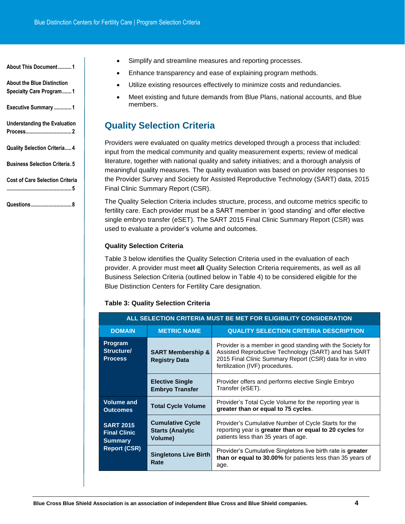**[About the Blue Distinction](#page-1-1)  [Specialty Care Program.......1](#page-1-1)**

<span id="page-4-0"></span>**[Executive Summary](#page-1-2) .............1**

```
Understanding the Evaluation 
Process..................................2
```
**[Quality Selection Criteria.....4](#page-4-0)**

**[Business Selection Criteria.5](#page-5-0)**

**[Cost of Care Selection Criteria](#page-5-1)**

**[................................................5](#page-5-1)**

**[Questions..............................8](#page-8-0)**

- Simplify and streamline measures and reporting processes.
- Enhance transparency and ease of explaining program methods.
- Utilize existing resources effectively to minimize costs and redundancies.
- Meet existing and future demands from Blue Plans, national accounts, and Blue members.

# **Quality Selection Criteria**

Providers were evaluated on quality metrics developed through a process that included: input from the medical community and quality measurement experts; review of medical literature, together with national quality and safety initiatives; and a thorough analysis of meaningful quality measures. The quality evaluation was based on provider responses to the Provider Survey and Society for Assisted Reproductive Technology (SART) data, 2015 Final Clinic Summary Report (CSR).

The Quality Selection Criteria includes structure, process, and outcome metrics specific to fertility care. Each provider must be a SART member in 'good standing' and offer elective single embryo transfer (eSET). The SART 2015 Final Clinic Summary Report (CSR) was used to evaluate a provider's volume and outcomes.

# **Quality Selection Criteria**

Table 3 below identifies the Quality Selection Criteria used in the evaluation of each provider. A provider must meet **all** Quality Selection Criteria requirements, as well as all Business Selection Criteria (outlined below in Table 4) to be considered eligible for the Blue Distinction Centers for Fertility Care designation.

| ALL SELECTION CRITERIA MUST BE MET FOR ELIGIBILITY CONSIDERATION                 |                                                                     |                                                                                                                                                                                                                   |
|----------------------------------------------------------------------------------|---------------------------------------------------------------------|-------------------------------------------------------------------------------------------------------------------------------------------------------------------------------------------------------------------|
| <b>DOMAIN</b>                                                                    | <b>METRIC NAME</b><br><b>QUALITY SELECTION CRITERIA DESCRIPTION</b> |                                                                                                                                                                                                                   |
| <b>Program</b><br>Structure/<br><b>Process</b>                                   | <b>SART Membership &amp;</b><br><b>Registry Data</b>                | Provider is a member in good standing with the Society for<br>Assisted Reproductive Technology (SART) and has SART<br>2015 Final Clinic Summary Report (CSR) data for in vitro<br>fertilization (IVF) procedures. |
|                                                                                  | <b>Elective Single</b><br><b>Embryo Transfer</b>                    | Provider offers and performs elective Single Embryo<br>Transfer (eSET).                                                                                                                                           |
| <b>Volume and</b><br><b>Outcomes</b>                                             | <b>Total Cycle Volume</b>                                           | Provider's Total Cycle Volume for the reporting year is<br>greater than or equal to 75 cycles.                                                                                                                    |
| <b>SART 2015</b><br><b>Final Clinic</b><br><b>Summary</b><br><b>Report (CSR)</b> | <b>Cumulative Cycle</b><br><b>Starts (Analytic</b><br>Volume)       | Provider's Cumulative Number of Cycle Starts for the<br>reporting year is greater than or equal to 20 cycles for<br>patients less than 35 years of age.                                                           |
|                                                                                  | <b>Singletons Live Birth</b><br>Rate                                | Provider's Cumulative Singletons live birth rate is greater<br>than or equal to 30.00% for patients less than 35 years of<br>age.                                                                                 |

## **Table 3: Quality Selection Criteria**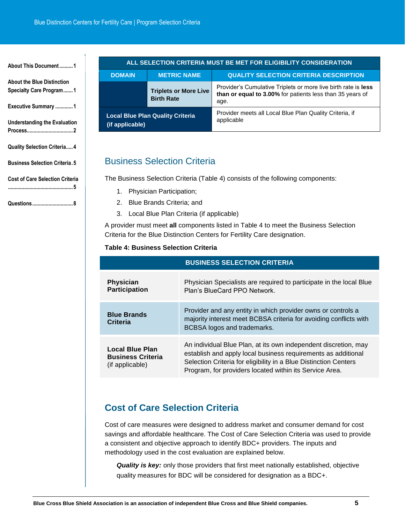**[About the Blue Distinction](#page-1-1)  [Specialty Care Program.......1](#page-1-1)**

**[Executive Summary](#page-1-2) .............1**

**[Understanding the Evaluation](#page-2-0)  [Process..................................2](#page-2-0)**

<span id="page-5-0"></span>**[Quality Selection Criteria.....4](#page-4-0)**

**[Business Selection Criteria.5](#page-5-0)**

**[Cost of Care Selection Criteria](#page-5-1)**

**[................................................5](#page-5-1)**

**[Questions..............................8](#page-8-0)**

| ALL SELECTION CRITERIA MUST BE MET FOR ELIGIBILITY CONSIDERATION |                                                   |                                                                                                                                     |
|------------------------------------------------------------------|---------------------------------------------------|-------------------------------------------------------------------------------------------------------------------------------------|
| <b>DOMAIN</b>                                                    | <b>METRIC NAME</b>                                | <b>QUALITY SELECTION CRITERIA DESCRIPTION</b>                                                                                       |
|                                                                  | <b>Triplets or More Live</b><br><b>Birth Rate</b> | Provider's Cumulative Triplets or more live birth rate is less<br>than or equal to 3.00% for patients less than 35 years of<br>age. |
| <b>Local Blue Plan Quality Criteria</b><br>(if applicable)       |                                                   | Provider meets all Local Blue Plan Quality Criteria, if<br>applicable                                                               |

# Business Selection Criteria

The Business Selection Criteria (Table 4) consists of the following components:

- 1. Physician Participation;
- 2. Blue Brands Criteria; and
- 3. Local Blue Plan Criteria (if applicable)

A provider must meet **all** components listed in Table 4 to meet the Business Selection Criteria for the Blue Distinction Centers for Fertility Care designation.

## **Table 4: Business Selection Criteria**

| <b>BUSINESS SELECTION CRITERIA</b>                             |                                                                                                                                                                                                                                                                 |  |
|----------------------------------------------------------------|-----------------------------------------------------------------------------------------------------------------------------------------------------------------------------------------------------------------------------------------------------------------|--|
| <b>Physician</b><br><b>Participation</b>                       | Physician Specialists are required to participate in the local Blue<br>Plan's BlueCard PPO Network.                                                                                                                                                             |  |
| <b>Blue Brands</b><br>Criteria                                 | Provider and any entity in which provider owns or controls a<br>majority interest meet BCBSA criteria for avoiding conflicts with<br>BCBSA logos and trademarks.                                                                                                |  |
| Local Blue Plan<br><b>Business Criteria</b><br>(if applicable) | An individual Blue Plan, at its own independent discretion, may<br>establish and apply local business requirements as additional<br>Selection Criteria for eligibility in a Blue Distinction Centers<br>Program, for providers located within its Service Area. |  |

# <span id="page-5-1"></span>**Cost of Care Selection Criteria**

Cost of care measures were designed to address market and consumer demand for cost savings and affordable healthcare. The Cost of Care Selection Criteria was used to provide a consistent and objective approach to identify BDC+ providers. The inputs and methodology used in the cost evaluation are explained below.

*Quality is key:* only those providers that first meet nationally established, objective quality measures for BDC will be considered for designation as a BDC+.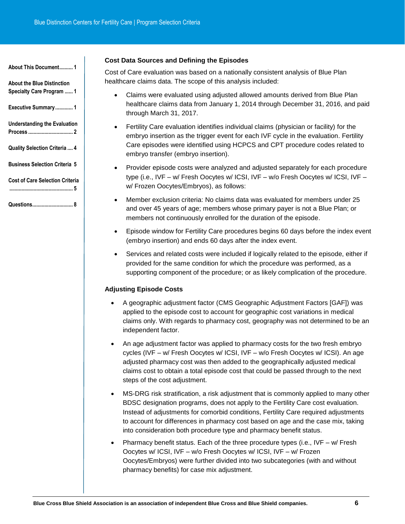**[About the Blue Distinction](#page-1-1)  [Specialty Care Program](#page-1-1) ...... 1**

**[Executive Summary.............](#page-1-2) 1**

**[Understanding the Evaluation](#page-2-0)  Process [.................................](#page-2-0) 2**

**[Quality Selection Criteria](#page-4-0) .... 4**

**[Business Selection Criteria](#page-5-0) 5**

**[Cost of Care Selection Criteria](#page-5-1)**

**[...............................................](#page-5-1) 5**

**[Questions..............................](#page-8-0) 8**

#### **Cost Data Sources and Defining the Episodes**

Cost of Care evaluation was based on a nationally consistent analysis of Blue Plan healthcare claims data. The scope of this analysis included:

- Claims were evaluated using adjusted allowed amounts derived from Blue Plan healthcare claims data from January 1, 2014 through December 31, 2016, and paid through March 31, 2017.
- Fertility Care evaluation identifies individual claims (physician or facility) for the embryo insertion as the trigger event for each IVF cycle in the evaluation. Fertility Care episodes were identified using HCPCS and CPT procedure codes related to embryo transfer (embryo insertion).
- Provider episode costs were analyzed and adjusted separately for each procedure type (i.e., IVF – w/ Fresh Oocytes w/ ICSI, IVF – w/o Fresh Oocytes w/ ICSI, IVF – w/ Frozen Oocytes/Embryos), as follows:
- Member exclusion criteria: No claims data was evaluated for members under 25 and over 45 years of age; members whose primary payer is not a Blue Plan; or members not continuously enrolled for the duration of the episode.
- Episode window for Fertility Care procedures begins 60 days before the index event (embryo insertion) and ends 60 days after the index event.
- Services and related costs were included if logically related to the episode, either if provided for the same condition for which the procedure was performed, as a supporting component of the procedure; or as likely complication of the procedure.

## **Adjusting Episode Costs**

- A geographic adjustment factor (CMS Geographic Adjustment Factors [GAF]) was applied to the episode cost to account for geographic cost variations in medical claims only. With regards to pharmacy cost, geography was not determined to be an independent factor.
- An age adjustment factor was applied to pharmacy costs for the two fresh embryo cycles (IVF – w/ Fresh Oocytes w/ ICSI, IVF – w/o Fresh Oocytes w/ ICSI). An age adjusted pharmacy cost was then added to the geographically adjusted medical claims cost to obtain a total episode cost that could be passed through to the next steps of the cost adjustment.
- MS-DRG risk stratification, a risk adjustment that is commonly applied to many other BDSC designation programs, does not apply to the Fertility Care cost evaluation. Instead of adjustments for comorbid conditions, Fertility Care required adjustments to account for differences in pharmacy cost based on age and the case mix, taking into consideration both procedure type and pharmacy benefit status.
- Pharmacy benefit status. Each of the three procedure types (i.e., IVF w/ Fresh Oocytes w/ ICSI, IVF – w/o Fresh Oocytes w/ ICSI, IVF – w/ Frozen Oocytes/Embryos) were further divided into two subcategories (with and without pharmacy benefits) for case mix adjustment.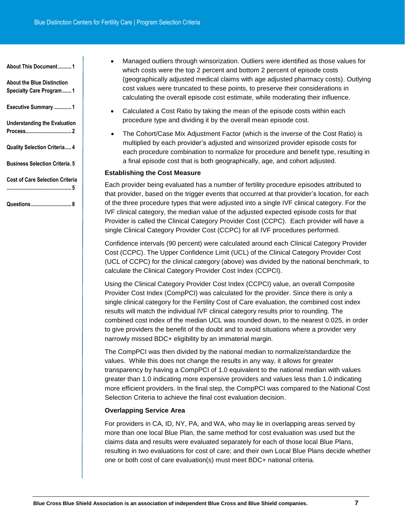**[About the Blue Distinction](#page-1-1)  [Specialty Care Program.......1](#page-1-1)**

**[Executive Summary](#page-1-2) .............1**

**[Understanding the Evaluation](#page-2-0)  [Process..................................2](#page-2-0)**

**[Quality Selection Criteria.....4](#page-4-0)**

**[Business Selection Criteria.5](#page-5-0)**

|  | Cost of Care Selection Criteria |  |
|--|---------------------------------|--|
|  |                                 |  |

**[Questions..............................8](#page-8-0)**

- Managed outliers through winsorization. Outliers were identified as those values for which costs were the top 2 percent and bottom 2 percent of episode costs (geographically adjusted medical claims with age adjusted pharmacy costs). Outlying cost values were truncated to these points, to preserve their considerations in calculating the overall episode cost estimate, while moderating their influence.
- Calculated a Cost Ratio by taking the mean of the episode costs within each procedure type and dividing it by the overall mean episode cost.
- The Cohort/Case Mix Adjustment Factor (which is the inverse of the Cost Ratio) is multiplied by each provider's adjusted and winsorized provider episode costs for each procedure combination to normalize for procedure and benefit type, resulting in a final episode cost that is both geographically, age, and cohort adjusted.

#### **Establishing the Cost Measure**

Each provider being evaluated has a number of fertility procedure episodes attributed to that provider, based on the trigger events that occurred at that provider's location, for each of the three procedure types that were adjusted into a single IVF clinical category. For the IVF clinical category, the median value of the adjusted expected episode costs for that Provider is called the Clinical Category Provider Cost (CCPC). Each provider will have a single Clinical Category Provider Cost (CCPC) for all IVF procedures performed.

Confidence intervals (90 percent) were calculated around each Clinical Category Provider Cost (CCPC). The Upper Confidence Limit (UCL) of the Clinical Category Provider Cost (UCL of CCPC) for the clinical category (above) was divided by the national benchmark, to calculate the Clinical Category Provider Cost Index (CCPCI).

Using the Clinical Category Provider Cost Index (CCPCI) value, an overall Composite Provider Cost Index (CompPCI) was calculated for the provider. Since there is only a single clinical category for the Fertility Cost of Care evaluation, the combined cost index results will match the individual IVF clinical category results prior to rounding. The combined cost index of the median UCL was rounded down, to the nearest 0.025, in order to give providers the benefit of the doubt and to avoid situations where a provider very narrowly missed BDC+ eligibility by an immaterial margin.

The CompPCI was then divided by the national median to normalize/standardize the values. While this does not change the results in any way, it allows for greater transparency by having a CompPCI of 1.0 equivalent to the national median with values greater than 1.0 indicating more expensive providers and values less than 1.0 indicating more efficient providers. In the final step, the CompPCI was compared to the National Cost Selection Criteria to achieve the final cost evaluation decision.

#### **Overlapping Service Area**

For providers in CA, ID, NY, PA, and WA, who may lie in overlapping areas served by more than one local Blue Plan, the same method for cost evaluation was used but the claims data and results were evaluated separately for each of those local Blue Plans, resulting in two evaluations for cost of care; and their own Local Blue Plans decide whether one or both cost of care evaluation(s) must meet BDC+ national criteria.